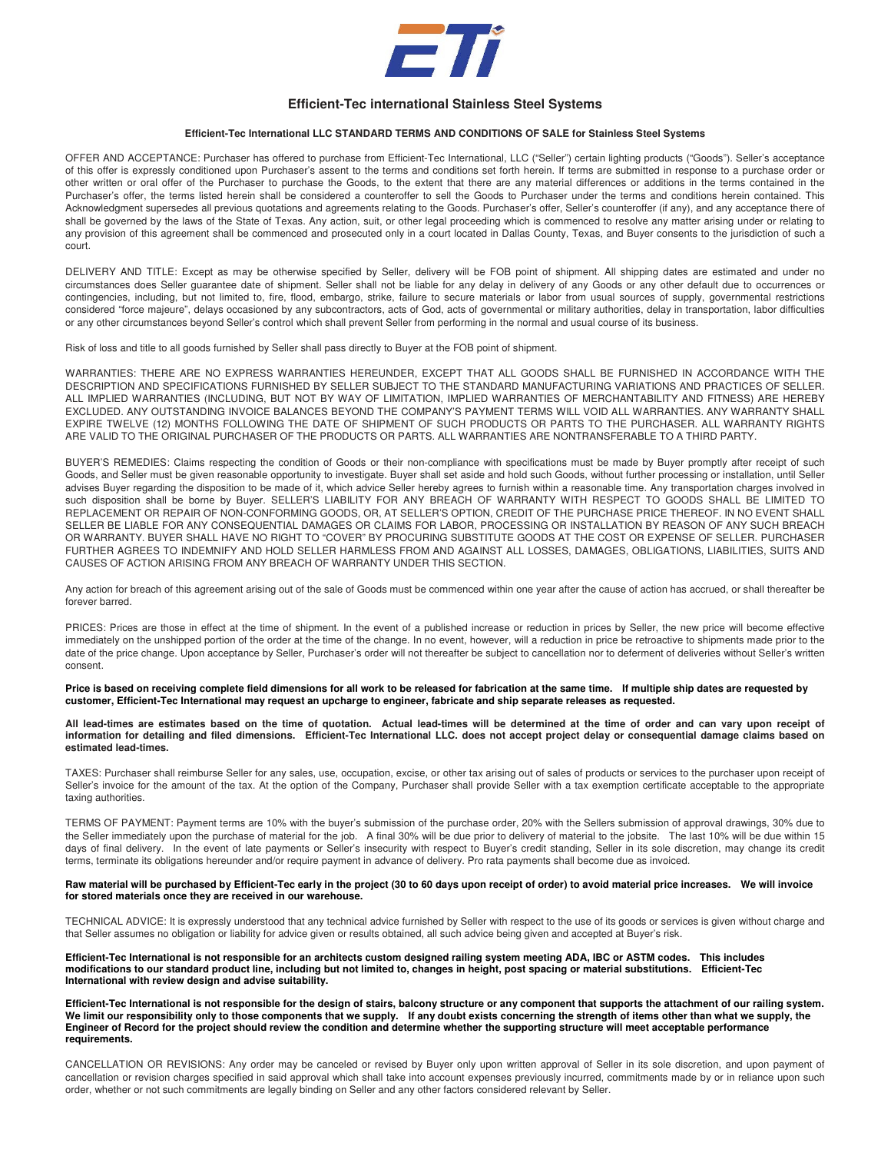

# **Efficient-Tec international Stainless Steel Systems**

## **Efficient-Tec International LLC STANDARD TERMS AND CONDITIONS OF SALE for Stainless Steel Systems**

OFFER AND ACCEPTANCE: Purchaser has offered to purchase from Efficient-Tec International, LLC ("Seller") certain lighting products ("Goods"). Seller's acceptance of this offer is expressly conditioned upon Purchaser's assent to the terms and conditions set forth herein. If terms are submitted in response to a purchase order or other written or oral offer of the Purchaser to purchase the Goods, to the extent that there are any material differences or additions in the terms contained in the Purchaser's offer, the terms listed herein shall be considered a counteroffer to sell the Goods to Purchaser under the terms and conditions herein contained. This Acknowledgment supersedes all previous quotations and agreements relating to the Goods. Purchaser's offer, Seller's counteroffer (if any), and any acceptance there of shall be governed by the laws of the State of Texas. Any action, suit, or other legal proceeding which is commenced to resolve any matter arising under or relating to any provision of this agreement shall be commenced and prosecuted only in a court located in Dallas County, Texas, and Buyer consents to the jurisdiction of such a court.

DELIVERY AND TITLE: Except as may be otherwise specified by Seller, delivery will be FOB point of shipment. All shipping dates are estimated and under no circumstances does Seller guarantee date of shipment. Seller shall not be liable for any delay in delivery of any Goods or any other default due to occurrences or contingencies, including, but not limited to, fire, flood, embargo, strike, failure to secure materials or labor from usual sources of supply, governmental restrictions considered "force majeure", delays occasioned by any subcontractors, acts of God, acts of governmental or military authorities, delay in transportation, labor difficulties or any other circumstances beyond Seller's control which shall prevent Seller from performing in the normal and usual course of its business.

Risk of loss and title to all goods furnished by Seller shall pass directly to Buyer at the FOB point of shipment.

WARRANTIES: THERE ARE NO EXPRESS WARRANTIES HEREUNDER, EXCEPT THAT ALL GOODS SHALL BE FURNISHED IN ACCORDANCE WITH THE DESCRIPTION AND SPECIFICATIONS FURNISHED BY SELLER SUBJECT TO THE STANDARD MANUFACTURING VARIATIONS AND PRACTICES OF SELLER. ALL IMPLIED WARRANTIES (INCLUDING, BUT NOT BY WAY OF LIMITATION, IMPLIED WARRANTIES OF MERCHANTABILITY AND FITNESS) ARE HEREBY EXCLUDED. ANY OUTSTANDING INVOICE BALANCES BEYOND THE COMPANY'S PAYMENT TERMS WILL VOID ALL WARRANTIES. ANY WARRANTY SHALL EXPIRE TWELVE (12) MONTHS FOLLOWING THE DATE OF SHIPMENT OF SUCH PRODUCTS OR PARTS TO THE PURCHASER. ALL WARRANTY RIGHTS ARE VALID TO THE ORIGINAL PURCHASER OF THE PRODUCTS OR PARTS. ALL WARRANTIES ARE NONTRANSFERABLE TO A THIRD PARTY.

BUYER'S REMEDIES: Claims respecting the condition of Goods or their non-compliance with specifications must be made by Buyer promptly after receipt of such Goods, and Seller must be given reasonable opportunity to investigate. Buyer shall set aside and hold such Goods, without further processing or installation, until Seller advises Buyer regarding the disposition to be made of it, which advice Seller hereby agrees to furnish within a reasonable time. Any transportation charges involved in such disposition shall be borne by Buyer. SELLER'S LIABILITY FOR ANY BREACH OF WARRANTY WITH RESPECT TO GOODS SHALL BE LIMITED TO REPLACEMENT OR REPAIR OF NON-CONFORMING GOODS, OR, AT SELLER'S OPTION, CREDIT OF THE PURCHASE PRICE THEREOF. IN NO EVENT SHALL SELLER BE LIABLE FOR ANY CONSEQUENTIAL DAMAGES OR CLAIMS FOR LABOR, PROCESSING OR INSTALLATION BY REASON OF ANY SUCH BREACH OR WARRANTY. BUYER SHALL HAVE NO RIGHT TO "COVER" BY PROCURING SUBSTITUTE GOODS AT THE COST OR EXPENSE OF SELLER. PURCHASER FURTHER AGREES TO INDEMNIFY AND HOLD SELLER HARMLESS FROM AND AGAINST ALL LOSSES, DAMAGES, OBLIGATIONS, LIABILITIES, SUITS AND CAUSES OF ACTION ARISING FROM ANY BREACH OF WARRANTY UNDER THIS SECTION.

Any action for breach of this agreement arising out of the sale of Goods must be commenced within one year after the cause of action has accrued, or shall thereafter be forever barred.

PRICES: Prices are those in effect at the time of shipment. In the event of a published increase or reduction in prices by Seller, the new price will become effective immediately on the unshipped portion of the order at the time of the change. In no event, however, will a reduction in price be retroactive to shipments made prior to the date of the price change. Upon acceptance by Seller, Purchaser's order will not thereafter be subject to cancellation nor to deferment of deliveries without Seller's written consent.

### **Price is based on receiving complete field dimensions for all work to be released for fabrication at the same time. If multiple ship dates are requested by customer, Efficient-Tec International may request an upcharge to engineer, fabricate and ship separate releases as requested.**

**All lead-times are estimates based on the time of quotation. Actual lead-times will be determined at the time of order and can vary upon receipt of information for detailing and filed dimensions. Efficient-Tec International LLC. does not accept project delay or consequential damage claims based on estimated lead-times.** 

TAXES: Purchaser shall reimburse Seller for any sales, use, occupation, excise, or other tax arising out of sales of products or services to the purchaser upon receipt of Seller's invoice for the amount of the tax. At the option of the Company, Purchaser shall provide Seller with a tax exemption certificate acceptable to the appropriate taxing authorities.

TERMS OF PAYMENT: Payment terms are 10% with the buyer's submission of the purchase order, 20% with the Sellers submission of approval drawings, 30% due to the Seller immediately upon the purchase of material for the job. A final 30% will be due prior to delivery of material to the jobsite. The last 10% will be due within 15 days of final delivery. In the event of late payments or Seller's insecurity with respect to Buyer's credit standing, Seller in its sole discretion, may change its credit terms, terminate its obligations hereunder and/or require payment in advance of delivery. Pro rata payments shall become due as invoiced.

#### **Raw material will be purchased by Efficient-Tec early in the project (30 to 60 days upon receipt of order) to avoid material price increases. We will invoice for stored materials once they are received in our warehouse.**

TECHNICAL ADVICE: It is expressly understood that any technical advice furnished by Seller with respect to the use of its goods or services is given without charge and that Seller assumes no obligation or liability for advice given or results obtained, all such advice being given and accepted at Buyer's risk.

#### **Efficient-Tec International is not responsible for an architects custom designed railing system meeting ADA, IBC or ASTM codes. This includes modifications to our standard product line, including but not limited to, changes in height, post spacing or material substitutions. Efficient-Tec International with review design and advise suitability.**

**Efficient-Tec International is not responsible for the design of stairs, balcony structure or any component that supports the attachment of our railing system. We limit our responsibility only to those components that we supply. If any doubt exists concerning the strength of items other than what we supply, the Engineer of Record for the project should review the condition and determine whether the supporting structure will meet acceptable performance requirements.** 

CANCELLATION OR REVISIONS: Any order may be canceled or revised by Buyer only upon written approval of Seller in its sole discretion, and upon payment of cancellation or revision charges specified in said approval which shall take into account expenses previously incurred, commitments made by or in reliance upon such order, whether or not such commitments are legally binding on Seller and any other factors considered relevant by Seller.